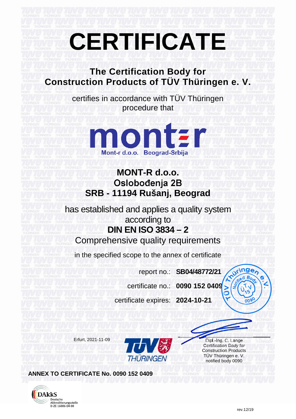## **CERTIFICATE**

## **The Certification Body for Construction Products of TÜV Thüringen e. V.**

certifies in accordance with TÜV Thüringen procedure that



## **MONT-R d.o.o.** Oslobođenja 2B **SRB - 11194 Rušanj, Beograd**

has established and applies a quality system according to **DIN EN ISO 3834 – 2**

Comprehensive quality requirements

in the specified scope to the annex of certificate

report no.: **SB04/48772/21**

certificate no.: **0090 152 0409**

certificate expires: **2024-10-21**



Certification Body for Construction Products TÜV Thüringen e. V. notified body 0090

**ANNEX TO CERTIFICATE No. 0090 152 0409**